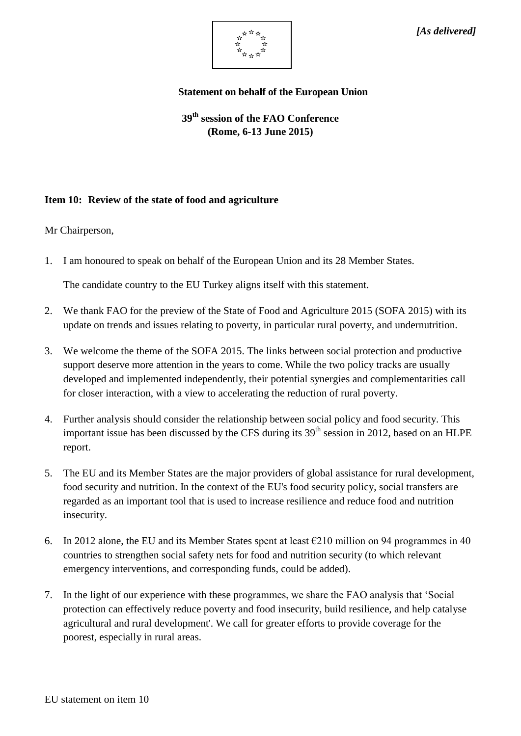

## **Statement on behalf of the European Union**

**39th session of the FAO Conference (Rome, 6-13 June 2015)**

## **Item 10: Review of the state of food and agriculture**

Mr Chairperson,

1. I am honoured to speak on behalf of the European Union and its 28 Member States.

The candidate country to the EU Turkey aligns itself with this statement.

- 2. We thank FAO for the preview of the State of Food and Agriculture 2015 (SOFA 2015) with its update on trends and issues relating to poverty, in particular rural poverty, and undernutrition.
- 3. We welcome the theme of the SOFA 2015. The links between social protection and productive support deserve more attention in the years to come. While the two policy tracks are usually developed and implemented independently, their potential synergies and complementarities call for closer interaction, with a view to accelerating the reduction of rural poverty.
- 4. Further analysis should consider the relationship between social policy and food security. This important issue has been discussed by the CFS during its  $39<sup>th</sup>$  session in 2012, based on an HLPE report.
- 5. The EU and its Member States are the major providers of global assistance for rural development, food security and nutrition. In the context of the EU's food security policy, social transfers are regarded as an important tool that is used to increase resilience and reduce food and nutrition insecurity.
- 6. In 2012 alone, the EU and its Member States spent at least  $\epsilon$ 210 million on 94 programmes in 40 countries to strengthen social safety nets for food and nutrition security (to which relevant emergency interventions, and corresponding funds, could be added).
- 7. In the light of our experience with these programmes, we share the FAO analysis that 'Social protection can effectively reduce poverty and food insecurity, build resilience, and help catalyse agricultural and rural development'. We call for greater efforts to provide coverage for the poorest, especially in rural areas.